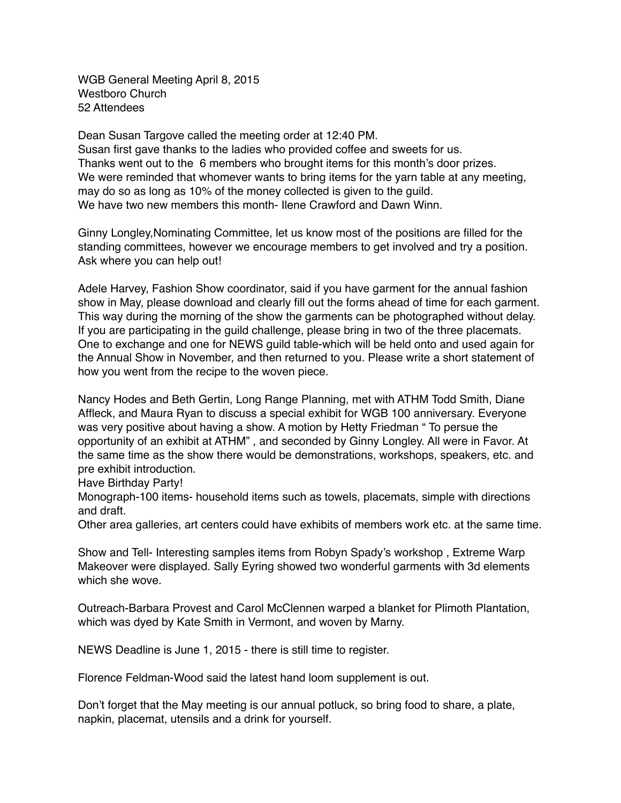WGB General Meeting April 8, 2015 Westboro Church 52 Attendees

Dean Susan Targove called the meeting order at 12:40 PM. Susan first gave thanks to the ladies who provided coffee and sweets for us. Thanks went out to the 6 members who brought items for this month's door prizes. We were reminded that whomever wants to bring items for the yarn table at any meeting, may do so as long as 10% of the money collected is given to the guild. We have two new members this month- Ilene Crawford and Dawn Winn.

Ginny Longley,Nominating Committee, let us know most of the positions are filled for the standing committees, however we encourage members to get involved and try a position. Ask where you can help out!

Adele Harvey, Fashion Show coordinator, said if you have garment for the annual fashion show in May, please download and clearly fill out the forms ahead of time for each garment. This way during the morning of the show the garments can be photographed without delay. If you are participating in the guild challenge, please bring in two of the three placemats. One to exchange and one for NEWS guild table-which will be held onto and used again for the Annual Show in November, and then returned to you. Please write a short statement of how you went from the recipe to the woven piece.

Nancy Hodes and Beth Gertin, Long Range Planning, met with ATHM Todd Smith, Diane Affleck, and Maura Ryan to discuss a special exhibit for WGB 100 anniversary. Everyone was very positive about having a show. A motion by Hetty Friedman " To persue the opportunity of an exhibit at ATHM" , and seconded by Ginny Longley. All were in Favor. At the same time as the show there would be demonstrations, workshops, speakers, etc. and pre exhibit introduction.

Have Birthday Party!

Monograph-100 items- household items such as towels, placemats, simple with directions and draft.

Other area galleries, art centers could have exhibits of members work etc. at the same time.

Show and Tell- Interesting samples items from Robyn Spady's workshop , Extreme Warp Makeover were displayed. Sally Eyring showed two wonderful garments with 3d elements which she wove.

Outreach-Barbara Provest and Carol McClennen warped a blanket for Plimoth Plantation, which was dyed by Kate Smith in Vermont, and woven by Marny.

NEWS Deadline is June 1, 2015 - there is still time to register.

Florence Feldman-Wood said the latest hand loom supplement is out.

Don't forget that the May meeting is our annual potluck, so bring food to share, a plate, napkin, placemat, utensils and a drink for yourself.